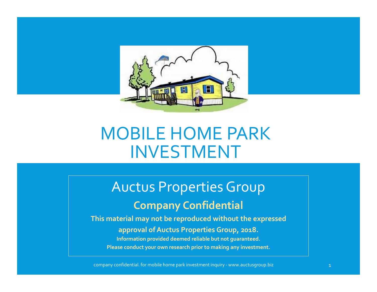

# MOBILE HOME PARK INVESTMENT OBILE HOME PARK<br>INVESTMENT<br>words Properties Group<br>Company Confidential<br>recial may not be reproduced without the expressed<br>approval of Auctus Properties Group, 2018.<br>Information provided deemed reliable but not guaranteed.<br>

# Company Confidential

INVESTMENT<br>
AUCLUS Properties Group<br>
Company Confidential<br>
This material may not be reproduced without the expressed<br>
approval of Auctus Properties Group, 2018.<br>
Information provided deemed reliable but not guaranteed.<br>
Pl This material may not be reproduced without the expressed Information provided deemed reliable but not guaranteed.

Please conduct your own research prior to making any investment.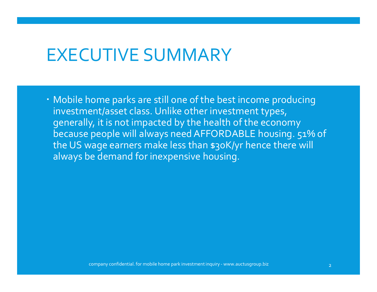#### EXECUTIVE SUMMARY

 Mobile home parks are still one of the best income producing investment/asset class. Unlike other investment types, generally, it is not impacted by the health of the economy because people will always need AFFORDABLE housing. 51% of the US wage earners make less than \$30K/yr hence there will always be demand for inexpensive housing. range earners make less than \$30K/yr nence there will<br>be demand for inexpensive housing.<br> $\frac{1}{2}$ <br>company confidential. for mobile home park investment inquiry - www.auctusgroup.biz  $\frac{1}{2}$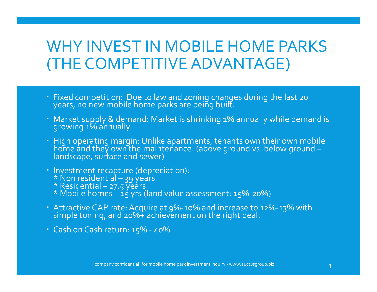#### WHY INVEST IN MOBILE HOME PARKS (THE COMPETITIVE ADVANTAGE)

- Fixed competition: Due to law and zoning changes during the last 20 years, no new mobile home parks are being built.
- Market supply & demand: Market is shrinking 1% annually while demand is growing 1% annually
- High operating margin: Unlike apartments, tenants own their own mobile<br>home and they own the maintenance. (above ground vs. below ground landscape, surface and sewer) (**THE COMPETITIVE ADVANTAGE)**<br>
• Fixed competition: Due to law and zoning changes during the last zo<br>
years, no new mobile home parks are being built.<br>
• Market supply & demand: Market is shrinking 1% annually while demar company confidential. for mobile home park investment inquiry - www.auctusgroup.biz 33<br>
company confidential – 39 years<br>
and – 27.5 years<br>
and – 27.5 years<br>
compact – 15 years<br>
compact – 15 years<br>
compact – 16 years<br>
compa
- -
	-
	-
- 
-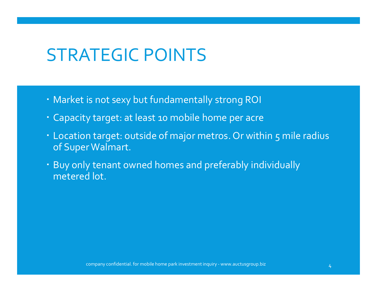# STRATEGIC POINTS

- Market is not sexy but fundamentally strong ROI
- Capacity target: at least 10 mobile home per acre
- Location target: outside of major metros. Or within 5 mile radius of Super Walmart.
- Buy only tenant owned homes and preferably individually metered lot. r Walmart.<br>y tenant owned homes and preferably individually<br>d lot.<br>company confidential. for mobile home park investment inquiry - www.auctusgroup.biz  $4$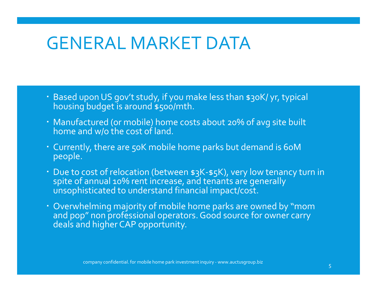#### GENERAL MARKET DATA

- · Based upon US gov't study, if you make less than \$30K/ yr, typical housing budget is around \$500/mth.
- Manufactured (or mobile) home costs about 20% of avg site built home and w/o the cost of land.
- Currently, there are 50K mobile home parks but demand is 60M people.
- Due to cost of relocation (between \$3K-\$5K), very low tenancy turn in spite of annual 10% rent increase, and tenants are generally  $\hskip 5mm \dot{\,}$  unsophisticated to understand financial impact/cost. ly, there are 50K mobile home parks but demand is 60M<br>cost of relocation (between \$3K-\$5K), very low tenancy turn in<br>annual 10% rent increase, and tenants are generally<br>isticated to understand financial impact/cost.<br>elming
- Overwhelming majority of mobile home parks are owned by "mom and pop" non professional operators. Good source for owner carry deals and higher CAP opportunity.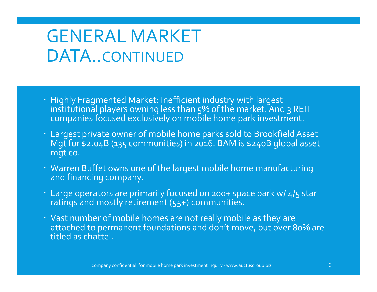- Highly Fragmented Market: Inefficient industry with largest institutional players owning less than 5% of the market. And 3 REIT companies focused exclusively on mobile home park investment.
- Largest private owner of mobile home parks sold to Brookfield Asset Mgt for \$2.04B (135 communities) in 2016. BAM is \$240B global asset mgt co.
- Warren Buffet owns one of the largest mobile home manufacturing and financing company.
- Large operators are primarily focused on 200+ space park w/ 4/5 star ratings and mostly retirement (55+) communities.
- Vast number of mobile homes are not really mobile as they are attached to permanent foundations and don't move, but over 80% are titled as chattel. company confidential. for mobile home park investment inquiry - www.auctusgroup.biz 6.<br>
ffet owns one of the largest mobile home manufacturing<br>
arabors are primarily focused on 200+ space park w/ 4/5 star<br>
d mostly retire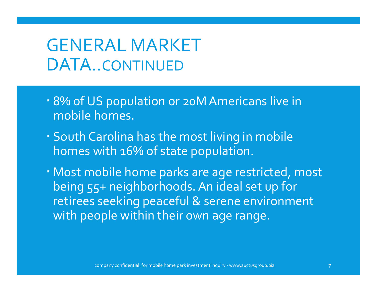- 8% of US population or 20M Americans live in mobile homes.
- South Carolina has the most living in mobile homes with 16% of state population.
- Most mobile home parks are age restricted, most being 55+ neighborhoods. An ideal set up for retirees seeking peaceful & serene environment with people within their own age range. with 16% of state population.<br>obile home parks are age restricted, most<br>5+ neighborhoods. An ideal set up for<br>seeking peaceful & serene environment<br>ople within their own age range.<br>or an age within their own age range.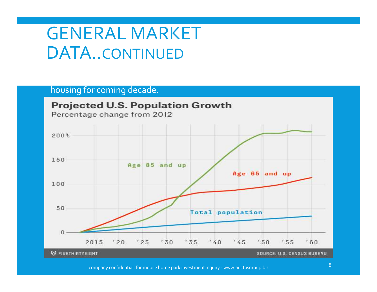housing for coming decade.

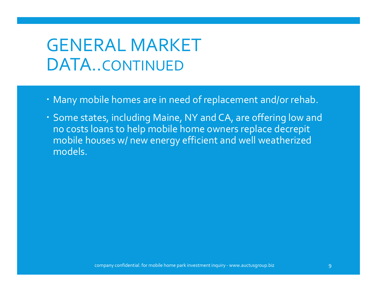- Many mobile homes are in need of replacement and/or rehab.
- Some states, including Maine, NY and CA, are offering low and no costs loans to help mobile home owners replace decrepit mobile houses w/ new energy efficient and well weatherized models. company confidential. for mobile home park investment inquiry - www.auctusgroup.biz <sup>9</sup>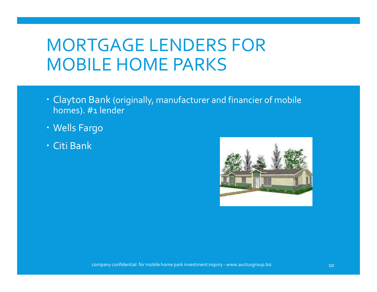#### MORTGAGE LENDERS FOR MOBILE HOME PARKS

- Clayton Bank (originally, manufacturer and financier of mobile homes). #1 lender
- Wells Fargo
- Citi Bank

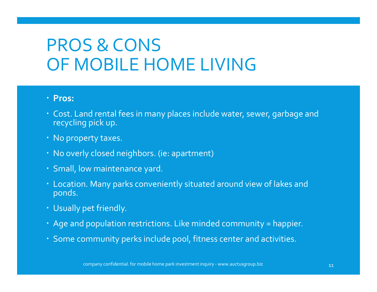## PROS & CONS OF MOBILE HOME LIVING

- Pros:
- Cost. Land rental fees in many places include water, sewer, garbage and recycling pick up.
- No property taxes.
- No overly closed neighbors. (ie: apartment)
- Small, low maintenance yard.
- Location. Many parks conveniently situated around view of lakes and ponds. company confidential. for mobile home park investment inquiry - www.auctusgroup.biz 11<br>non-park incorpany confidential. for mobile home park investment inquiry - www.auctusgroup.biz 11<br>non-pany confidential. for mobile hom
- Usually pet friendly.
- Age and population restrictions. Like minded community = happier.
- Some community perks include pool, fitness center and activities.